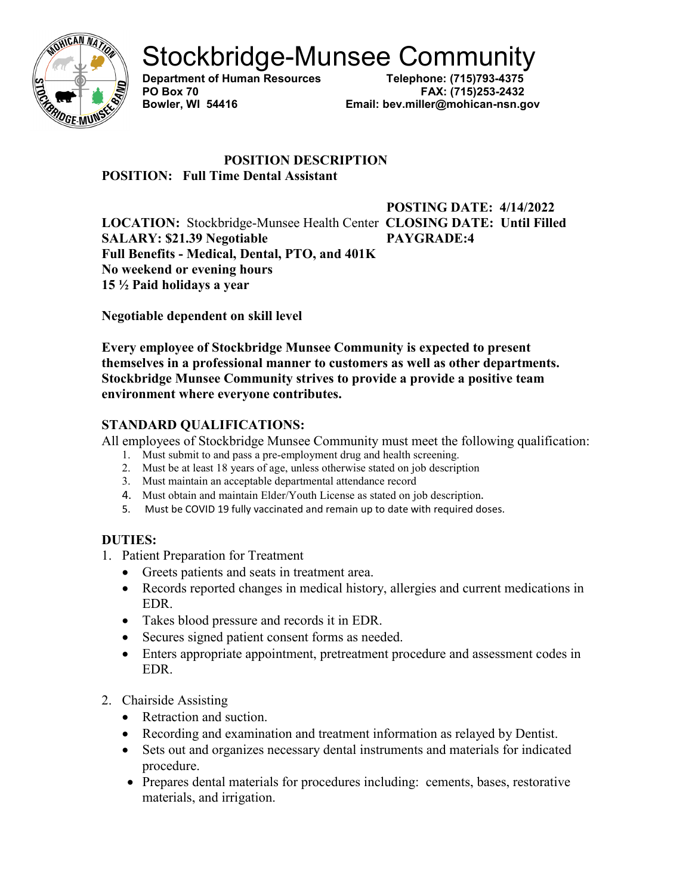

**Department of Human Resources** 

**PO Box 70 FAX: (715)253-2432 Bowler, WI 54416 Email: bev.miller@mohican-nsn.gov**

## **POSITION DESCRIPTION POSITION: Full Time Dental Assistant**

**POSTING DATE: 4/14/2022 LOCATION:** Stockbridge-Munsee Health Center **CLOSING DATE: Until Filled SALARY: \$21.39 Negotiable PAYGRADE:4 Full Benefits - Medical, Dental, PTO, and 401K No weekend or evening hours 15 ½ Paid holidays a year**

**Negotiable dependent on skill level**

**Every employee of Stockbridge Munsee Community is expected to present themselves in a professional manner to customers as well as other departments. Stockbridge Munsee Community strives to provide a provide a positive team environment where everyone contributes.** 

# **STANDARD QUALIFICATIONS:**

All employees of Stockbridge Munsee Community must meet the following qualification:

- 1. Must submit to and pass a pre-employment drug and health screening.
- 2. Must be at least 18 years of age, unless otherwise stated on job description
- 3. Must maintain an acceptable departmental attendance record
- 4. Must obtain and maintain Elder/Youth License as stated on job description.
- 5. Must be COVID 19 fully vaccinated and remain up to date with required doses.

# **DUTIES:**

- 1. Patient Preparation for Treatment
	- Greets patients and seats in treatment area.
	- Records reported changes in medical history, allergies and current medications in EDR.
	- Takes blood pressure and records it in EDR.
	- Secures signed patient consent forms as needed.
	- Enters appropriate appointment, pretreatment procedure and assessment codes in EDR.
- 2. Chairside Assisting
	- Retraction and suction.
	- Recording and examination and treatment information as relayed by Dentist.
	- Sets out and organizes necessary dental instruments and materials for indicated procedure.
	- Prepares dental materials for procedures including: cements, bases, restorative materials, and irrigation.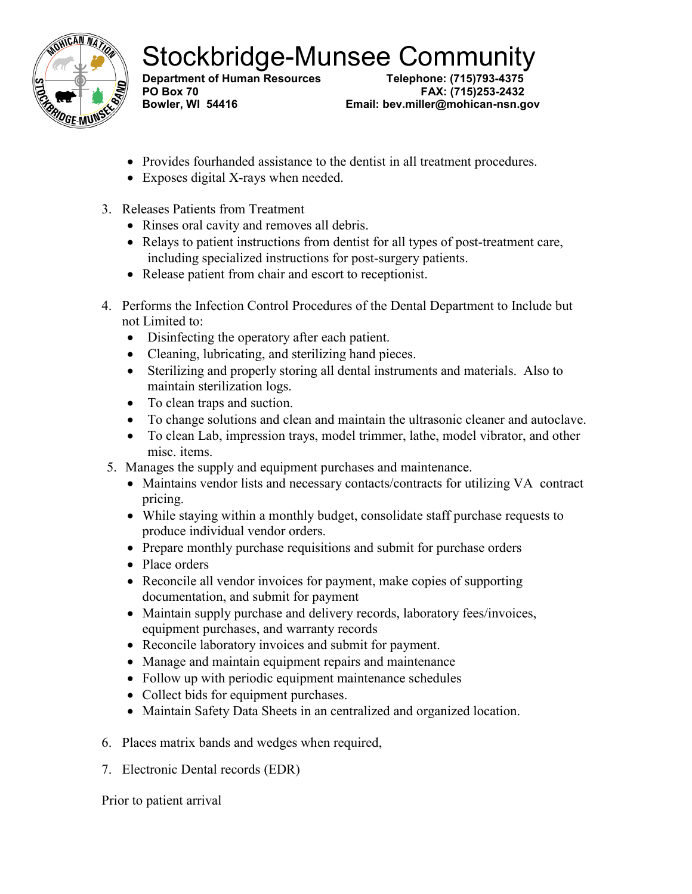

**Department of Human Resources** 

**PO Box 70 FAX: (715)253-2432 Bowler, WI 54416 Email: bev.miller@mohican-nsn.gov**

- Provides fourhanded assistance to the dentist in all treatment procedures.
- Exposes digital X-rays when needed.
- 3. Releases Patients from Treatment
	- Rinses oral cavity and removes all debris.
	- Relays to patient instructions from dentist for all types of post-treatment care, including specialized instructions for post-surgery patients.
	- Release patient from chair and escort to receptionist.
- 4. Performs the Infection Control Procedures of the Dental Department to Include but not Limited to:
	- Disinfecting the operatory after each patient.
	- Cleaning, lubricating, and sterilizing hand pieces.
	- Sterilizing and properly storing all dental instruments and materials. Also to maintain sterilization logs.
	- To clean traps and suction.
	- To change solutions and clean and maintain the ultrasonic cleaner and autoclave.
	- To clean Lab, impression trays, model trimmer, lathe, model vibrator, and other misc. items.
- 5. Manages the supply and equipment purchases and maintenance.
	- Maintains vendor lists and necessary contacts/contracts for utilizing VA contract pricing.
	- While staying within a monthly budget, consolidate staff purchase requests to produce individual vendor orders.
	- Prepare monthly purchase requisitions and submit for purchase orders
	- Place orders
	- Reconcile all vendor invoices for payment, make copies of supporting documentation, and submit for payment
	- Maintain supply purchase and delivery records, laboratory fees/invoices, equipment purchases, and warranty records
	- Reconcile laboratory invoices and submit for payment.
	- Manage and maintain equipment repairs and maintenance
	- Follow up with periodic equipment maintenance schedules
	- Collect bids for equipment purchases.
	- Maintain Safety Data Sheets in an centralized and organized location.
- 6. Places matrix bands and wedges when required,
- 7. Electronic Dental records (EDR)

Prior to patient arrival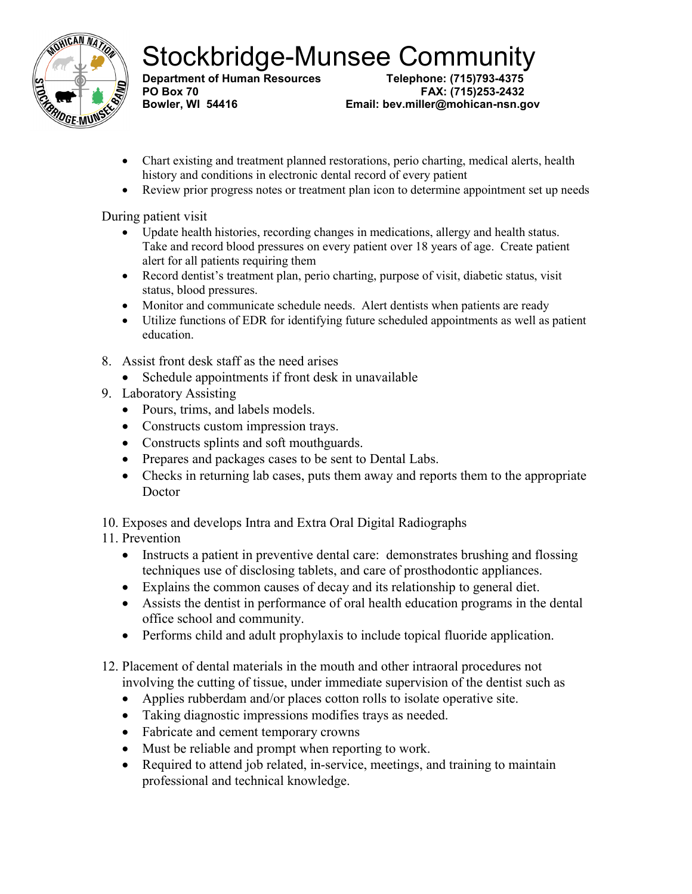

**Department of Human Resources PO Box 70 FAX: (715)253-2432**

**Bowler, WI 54416 Email: bev.miller@mohican-nsn.gov**

- Chart existing and treatment planned restorations, perio charting, medical alerts, health history and conditions in electronic dental record of every patient
- Review prior progress notes or treatment plan icon to determine appointment set up needs

During patient visit

- Update health histories, recording changes in medications, allergy and health status. Take and record blood pressures on every patient over 18 years of age. Create patient alert for all patients requiring them
- Record dentist's treatment plan, perio charting, purpose of visit, diabetic status, visit status, blood pressures.
- Monitor and communicate schedule needs. Alert dentists when patients are ready
- Utilize functions of EDR for identifying future scheduled appointments as well as patient education.
- 8. Assist front desk staff as the need arises
	- Schedule appointments if front desk in unavailable
- 9. Laboratory Assisting
	- Pours, trims, and labels models.
	- Constructs custom impression trays.
	- Constructs splints and soft mouthguards.
	- Prepares and packages cases to be sent to Dental Labs.
	- Checks in returning lab cases, puts them away and reports them to the appropriate Doctor
- 10. Exposes and develops Intra and Extra Oral Digital Radiographs

# 11. Prevention

- Instructs a patient in preventive dental care: demonstrates brushing and flossing techniques use of disclosing tablets, and care of prosthodontic appliances.
- Explains the common causes of decay and its relationship to general diet.
- Assists the dentist in performance of oral health education programs in the dental office school and community.
- Performs child and adult prophylaxis to include topical fluoride application.
- 12. Placement of dental materials in the mouth and other intraoral procedures not involving the cutting of tissue, under immediate supervision of the dentist such as
	- Applies rubberdam and/or places cotton rolls to isolate operative site.
	- Taking diagnostic impressions modifies trays as needed.
	- Fabricate and cement temporary crowns
	- Must be reliable and prompt when reporting to work.
	- Required to attend job related, in-service, meetings, and training to maintain professional and technical knowledge.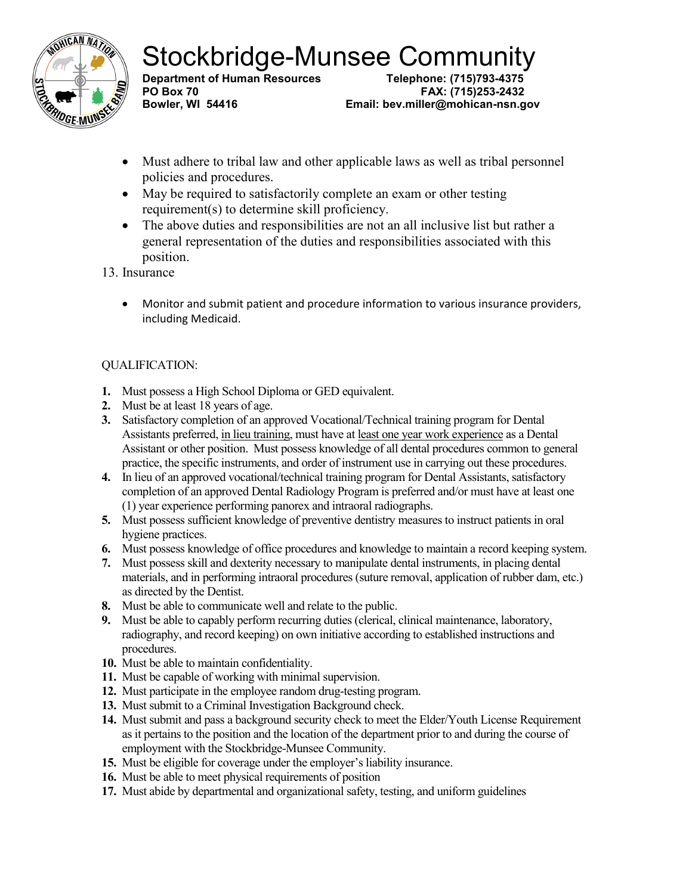

**Department of Human Resources** 

**PO Box 70 FAX: (715)253-2432 Email: bev.miller@mohican-nsn.gov** 

- Must adhere to tribal law and other applicable laws as well as tribal personnel policies and procedures.
- May be required to satisfactorily complete an exam or other testing requirement(s) to determine skill proficiency.
- The above duties and responsibilities are not an all inclusive list but rather a general representation of the duties and responsibilities associated with this position.

13. Insurance

• Monitor and submit patient and procedure information to various insurance providers, including Medicaid.

## QUALIFICATION:

- **1.** Must possess a High School Diploma or GED equivalent.
- **2.** Must be at least 18 years of age.
- **3.** Satisfactory completion of an approved Vocational/Technical training program for Dental Assistants preferred, in lieu training, must have at least one year work experience as a Dental Assistant or other position. Must possess knowledge of all dental procedures common to general practice, the specific instruments, and order of instrument use in carrying out these procedures.
- **4.** In lieu of an approved vocational/technical training program for Dental Assistants, satisfactory completion of an approved Dental Radiology Program is preferred and/or must have at least one (1) year experience performing panorex and intraoral radiographs.
- **5.** Must possess sufficient knowledge of preventive dentistry measures to instruct patients in oral hygiene practices.
- **6.** Must possess knowledge of office procedures and knowledge to maintain a record keeping system.
- **7.** Must possess skill and dexterity necessary to manipulate dental instruments, in placing dental materials, and in performing intraoral procedures (suture removal, application of rubber dam, etc.) as directed by the Dentist.
- **8.** Must be able to communicate well and relate to the public.
- **9.** Must be able to capably perform recurring duties (clerical, clinical maintenance, laboratory, radiography, and record keeping) on own initiative according to established instructions and procedures.
- **10.** Must be able to maintain confidentiality.
- **11.** Must be capable of working with minimal supervision.
- **12.** Must participate in the employee random drug-testing program.
- **13.** Must submit to a Criminal Investigation Background check.
- **14.** Must submit and pass a background security check to meet the Elder/Youth License Requirement as it pertains to the position and the location of the department prior to and during the course of employment with the Stockbridge-Munsee Community.
- **15.** Must be eligible for coverage under the employer's liability insurance.
- **16.** Must be able to meet physical requirements of position
- **17.** Must abide by departmental and organizational safety, testing, and uniform guidelines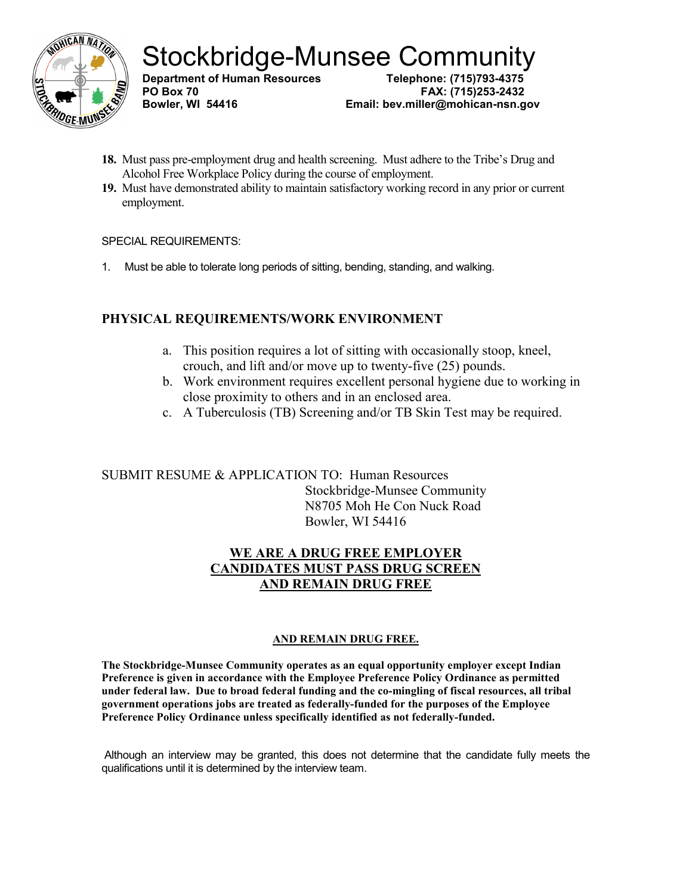

**Department of Human Resources PO Box 70 FAX: (715)253-2432 Email: bev.miller@mohican-nsn.gov** 

- **18.** Must pass pre-employment drug and health screening. Must adhere to the Tribe's Drug and Alcohol Free Workplace Policy during the course of employment.
- **19.** Must have demonstrated ability to maintain satisfactory working record in any prior or current employment.

#### SPECIAL REQUIREMENTS:

1. Must be able to tolerate long periods of sitting, bending, standing, and walking.

## **PHYSICAL REQUIREMENTS/WORK ENVIRONMENT**

- a. This position requires a lot of sitting with occasionally stoop, kneel, crouch, and lift and/or move up to twenty-five (25) pounds.
- b. Work environment requires excellent personal hygiene due to working in close proximity to others and in an enclosed area.
- c. A Tuberculosis (TB) Screening and/or TB Skin Test may be required.

SUBMIT RESUME & APPLICATION TO: Human Resources Stockbridge-Munsee Community N8705 Moh He Con Nuck Road Bowler, WI 54416

## **WE ARE A DRUG FREE EMPLOYER CANDIDATES MUST PASS DRUG SCREEN AND REMAIN DRUG FREE**

#### **AND REMAIN DRUG FREE.**

**The Stockbridge-Munsee Community operates as an equal opportunity employer except Indian Preference is given in accordance with the Employee Preference Policy Ordinance as permitted under federal law. Due to broad federal funding and the co-mingling of fiscal resources, all tribal government operations jobs are treated as federally-funded for the purposes of the Employee Preference Policy Ordinance unless specifically identified as not federally-funded.** 

Although an interview may be granted, this does not determine that the candidate fully meets the qualifications until it is determined by the interview team.